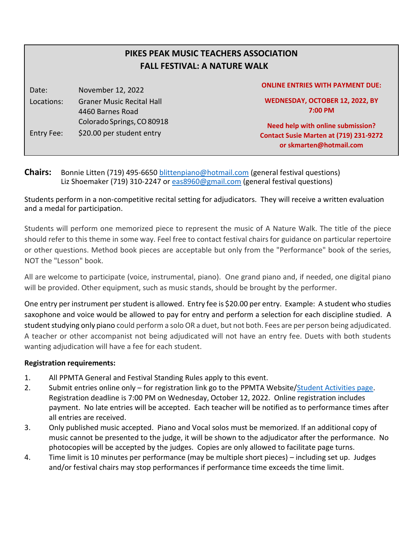# **PIKES PEAK MUSIC TEACHERS ASSOCIATION FALL FESTIVAL: A NATURE WALK**

Date: November 12, 2022 Locations: Graner Music Recital Hall 4460 Barnes Road Colorado Springs, CO 80918 Entry Fee: \$20.00 per student entry

#### **ONLINE ENTRIES WITH PAYMENT DUE:**

**WEDNESDAY, OCTOBER 12, 2022, BY 7:00 PM**

**Need help with online submission? Contact Susie Marten at (719) 231-9272 or skmarten@hotmail.com**

**Chairs:** Bonnie Litten (719) 495-6650 [blittenpiano@hotmail.com](mailto:blittenpiano@hotmail.com) (general festival questions) Liz Shoemaker (719) 310-2247 or [eas8960@gmail.com](mailto:eas8960@gmail.com) (general festival questions)

Students perform in a non-competitive recital setting for adjudicators. They will receive a written evaluation and a medal for participation.

Students will perform one memorized piece to represent the music of A Nature Walk. The title of the piece should refer to this theme in some way. Feel free to contact festival chairs for guidance on particular repertoire or other questions. Method book pieces are acceptable but only from the "Performance" book of the series, NOT the "Lesson" book.

All are welcome to participate (voice, instrumental, piano). One grand piano and, if needed, one digital piano will be provided. Other equipment, such as music stands, should be brought by the performer.

One entry per instrument per student is allowed. Entry fee is \$20.00 per entry. Example: A student who studies saxophone and voice would be allowed to pay for entry and perform a selection for each discipline studied. A student studying only piano could perform a solo OR a duet, but not both. Fees are per person being adjudicated. A teacher or other accompanist not being adjudicated will not have an entry fee. Duets with both students wanting adjudication will have a fee for each student.

### **Registration requirements:**

- 1. All PPMTA General and Festival Standing Rules apply to this event.
- 2. Submit entries online only for registration link go to the PPMTA Website[/Student Activities page.](https://www.ppmta.org/ppmta-student-activities.html) Registration deadline is 7:00 PM on Wednesday, October 12, 2022. Online registration includes payment. No late entries will be accepted. Each teacher will be notified as to performance times after all entries are received.
- 3. Only published music accepted. Piano and Vocal solos must be memorized. If an additional copy of music cannot be presented to the judge, it will be shown to the adjudicator after the performance. No photocopies will be accepted by the judges. Copies are only allowed to facilitate page turns.
- 4. Time limit is 10 minutes per performance (may be multiple short pieces) including set up. Judges and/or festival chairs may stop performances if performance time exceeds the time limit.